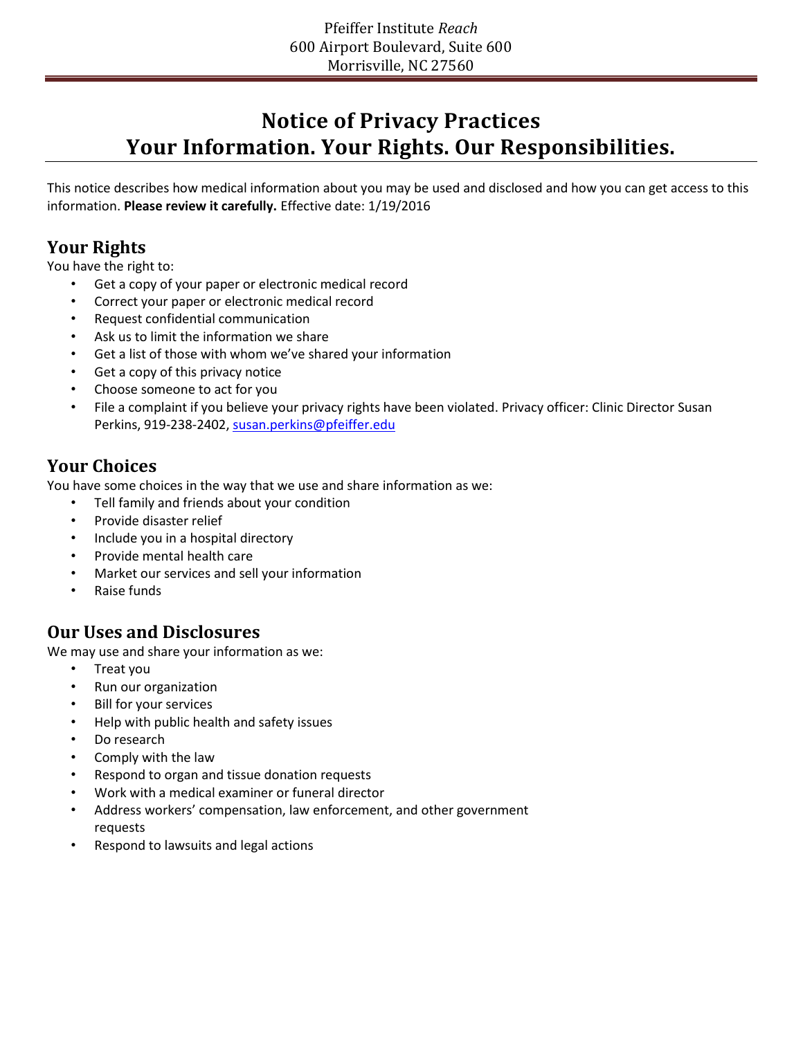# **Notice of Privacy Practices Your Information. Your Rights. Our Responsibilities.**

This notice describes how medical information about you may be used and disclosed and how you can get access to this information. **Please review it carefully.** Effective date: 1/19/2016

# **Your Rights**

You have the right to:

- Get a copy of your paper or electronic medical record
- Correct your paper or electronic medical record
- Request confidential communication
- Ask us to limit the information we share
- Get a list of those with whom we've shared your information
- Get a copy of this privacy notice
- Choose someone to act for you
- File a complaint if you believe your privacy rights have been violated. Privacy officer: Clinic Director Susan Perkins, 919-238-2402[, susan.perkins@pfeiffer.edu](mailto:susan.perkins@pfeiffer.edu)

# **Your Choices**

You have some choices in the way that we use and share information as we:

- Tell family and friends about your condition
- Provide disaster relief
- Include you in a hospital directory
- Provide mental health care
- Market our services and sell your information
- Raise funds

# **Our Uses and Disclosures**

We may use and share your information as we:

- Treat you
- Run our organization
- Bill for your services
- Help with public health and safety issues
- Do research
- Comply with the law
- Respond to organ and tissue donation requests
- Work with a medical examiner or funeral director
- Address workers' compensation, law enforcement, and other government requests
- Respond to lawsuits and legal actions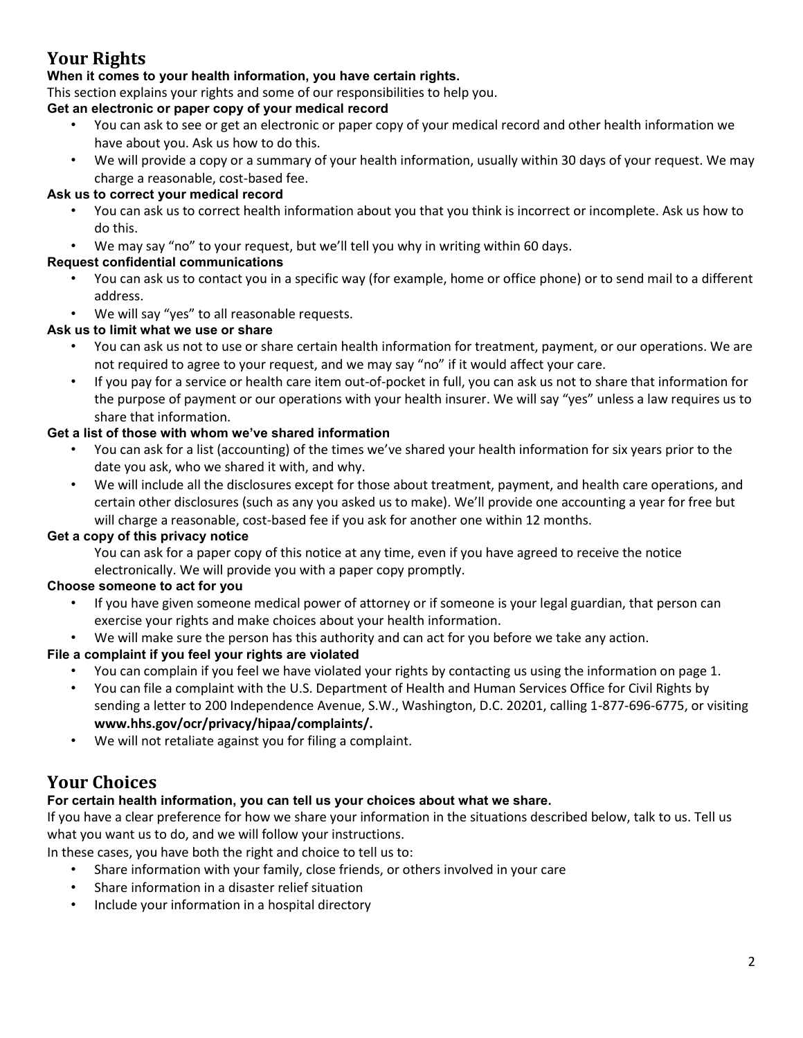# **Your Rights**

# **When it comes to your health information, you have certain rights.**

This section explains your rights and some of our responsibilities to help you.

#### **Get an electronic or paper copy of your medical record**

- You can ask to see or get an electronic or paper copy of your medical record and other health information we have about you. Ask us how to do this.
- We will provide a copy or a summary of your health information, usually within 30 days of your request. We may charge a reasonable, cost-based fee.

## **Ask us to correct your medical record**

- You can ask us to correct health information about you that you think is incorrect or incomplete. Ask us how to do this.
- We may say "no" to your request, but we'll tell you why in writing within 60 days.

# **Request confidential communications**

- You can ask us to contact you in a specific way (for example, home or office phone) or to send mail to a different address.
- We will say "yes" to all reasonable requests.

# **Ask us to limit what we use or share**

- You can ask us not to use or share certain health information for treatment, payment, or our operations. We are not required to agree to your request, and we may say "no" if it would affect your care.
- If you pay for a service or health care item out-of-pocket in full, you can ask us not to share that information for the purpose of payment or our operations with your health insurer. We will say "yes" unless a law requires us to share that information.

# **Get a list of those with whom we've shared information**

- You can ask for a list (accounting) of the times we've shared your health information for six years prior to the date you ask, who we shared it with, and why.
- We will include all the disclosures except for those about treatment, payment, and health care operations, and certain other disclosures (such as any you asked us to make). We'll provide one accounting a year for free but will charge a reasonable, cost-based fee if you ask for another one within 12 months.

#### **Get a copy of this privacy notice**

You can ask for a paper copy of this notice at any time, even if you have agreed to receive the notice electronically. We will provide you with a paper copy promptly.

#### **Choose someone to act for you**

- If you have given someone medical power of attorney or if someone is your legal guardian, that person can exercise your rights and make choices about your health information.
- We will make sure the person has this authority and can act for you before we take any action.

# **File a complaint if you feel your rights are violated**

- You can complain if you feel we have violated your rights by contacting us using the information on page 1.
- You can file a complaint with the U.S. Department of Health and Human Services Office for Civil Rights by sending a letter to 200 Independence Avenue, S.W., Washington, D.C. 20201, calling 1-877-696-6775, or visiting **www.hhs.gov/ocr/privacy/hipaa/complaints/.**
- We will not retaliate against you for filing a complaint.

# **Your Choices**

# **For certain health information, you can tell us your choices about what we share.**

If you have a clear preference for how we share your information in the situations described below, talk to us. Tell us what you want us to do, and we will follow your instructions.

In these cases, you have both the right and choice to tell us to:

- Share information with your family, close friends, or others involved in your care
- Share information in a disaster relief situation
- Include your information in a hospital directory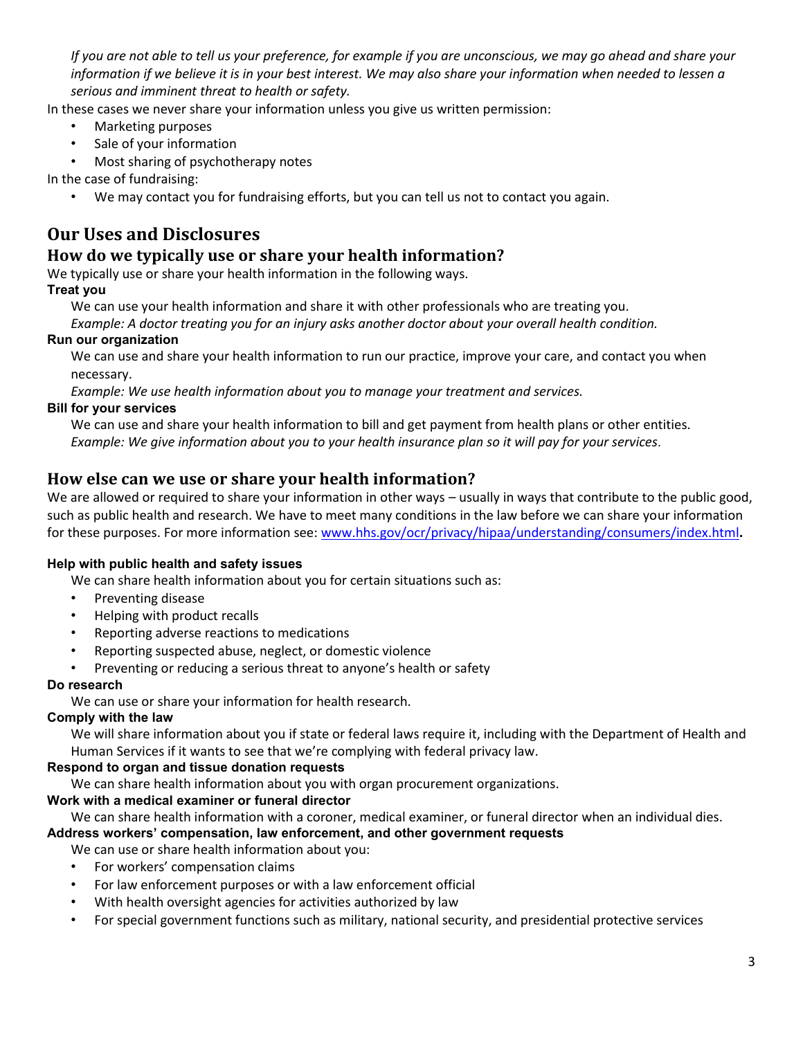*If you are not able to tell us your preference, for example if you are unconscious, we may go ahead and share your information if we believe it is in your best interest. We may also share your information when needed to lessen a serious and imminent threat to health or safety.*

In these cases we never share your information unless you give us written permission:

- Marketing purposes
- Sale of your information
- Most sharing of psychotherapy notes

In the case of fundraising:

• We may contact you for fundraising efforts, but you can tell us not to contact you again.

# **Our Uses and Disclosures**

# **How do we typically use or share your health information?**

We typically use or share your health information in the following ways.

#### **Treat you**

We can use your health information and share it with other professionals who are treating you.

*Example: A doctor treating you for an injury asks another doctor about your overall health condition.*

### **Run our organization**

We can use and share your health information to run our practice, improve your care, and contact you when necessary.

*Example: We use health information about you to manage your treatment and services.* 

### **Bill for your services**

We can use and share your health information to bill and get payment from health plans or other entities. *Example: We give information about you to your health insurance plan so it will pay for your services.* 

# **How else can we use or share your health information?**

We are allowed or required to share your information in other ways – usually in ways that contribute to the public good, such as public health and research. We have to meet many conditions in the law before we can share your information for these purposes. For more information see: [www.hhs.gov/ocr/privacy/hipaa/understanding/consumers/index.html](http://www.hhs.gov/ocr/privacy/hipaa/understanding/consumers/index.html)**.**

# **Help with public health and safety issues**

We can share health information about you for certain situations such as:

- Preventing disease
- Helping with product recalls
- Reporting adverse reactions to medications
- Reporting suspected abuse, neglect, or domestic violence
- Preventing or reducing a serious threat to anyone's health or safety

#### **Do research**

We can use or share your information for health research.

#### **Comply with the law**

We will share information about you if state or federal laws require it, including with the Department of Health and Human Services if it wants to see that we're complying with federal privacy law.

#### **Respond to organ and tissue donation requests**

We can share health information about you with organ procurement organizations.

#### **Work with a medical examiner or funeral director**

We can share health information with a coroner, medical examiner, or funeral director when an individual dies.

# **Address workers' compensation, law enforcement, and other government requests**

We can use or share health information about you:

- For workers' compensation claims
- For law enforcement purposes or with a law enforcement official
- With health oversight agencies for activities authorized by law
- For special government functions such as military, national security, and presidential protective services